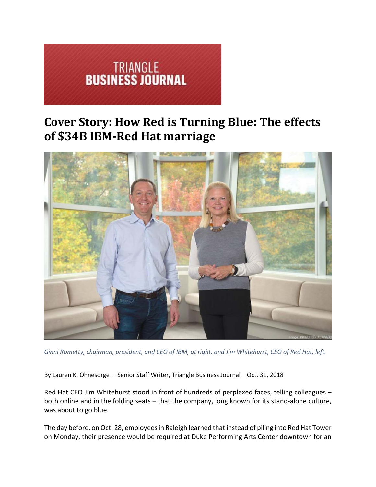

# **Cover Story: How Red is Turning Blue: The effects of \$34B IBM-Red Hat marriage**



Ginni Rometty, chairman, president, and CEO of IBM, at right, and Jim Whitehurst, CEO of Red Hat, left.

By Lauren K. Ohnesorge – Senior Staff Writer, Triangle Business Journal – Oct. 31, 2018

Red Hat CEO Jim Whitehurst stood in front of hundreds of perplexed faces, telling colleagues – both online and in the folding seats – that the company, long known for its stand-alone culture, was about to go blue.

The day before, on Oct. 28, employees in Raleigh learned that instead of piling into Red Hat Tower on Monday, their presence would be required at Duke Performing Arts Center downtown for an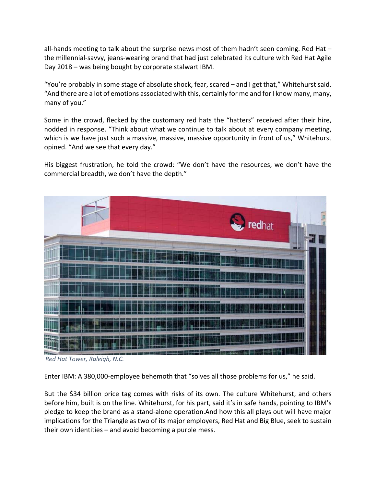all-hands meeting to talk about the surprise news most of them hadn't seen coming. Red Hat the millennial‐savvy, jeans‐wearing brand that had just celebrated its culture with Red Hat Agile Day 2018 – was being bought by corporate stalwart IBM.

"You're probably in some stage of absolute shock, fear, scared – and I get that," Whitehurst said. "And there are a lot of emotions associated with this, certainly for me and for I know many, many, many of you."

Some in the crowd, flecked by the customary red hats the "hatters" received after their hire, nodded in response. "Think about what we continue to talk about at every company meeting, which is we have just such a massive, massive, massive opportunity in front of us," Whitehurst opined. "And we see that every day."

His biggest frustration, he told the crowd: "We don't have the resources, we don't have the commercial breadth, we don't have the depth."



*Red Hat Tower, Raleigh, N.C.*

Enter IBM: A 380,000-employee behemoth that "solves all those problems for us," he said.

But the \$34 billion price tag comes with risks of its own. The culture Whitehurst, and others before him, built is on the line. Whitehurst, for his part, said it's in safe hands, pointing to IBM's pledge to keep the brand as a stand‐alone operation.And how this all plays out will have major implications for the Triangle as two of its major employers, Red Hat and Big Blue, seek to sustain their own identities – and avoid becoming a purple mess.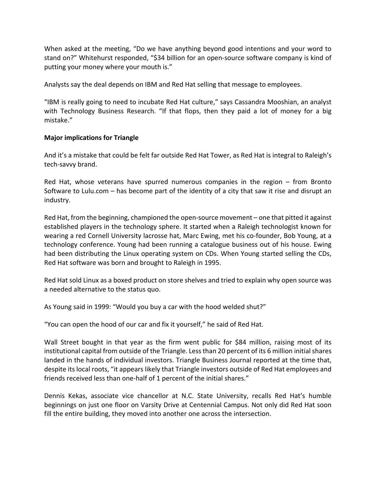When asked at the meeting, "Do we have anything beyond good intentions and your word to stand on?" Whitehurst responded, "\$34 billion for an open‐source software company is kind of putting your money where your mouth is."

Analysts say the deal depends on IBM and Red Hat selling that message to employees.

"IBM is really going to need to incubate Red Hat culture," says Cassandra Mooshian, an analyst with Technology Business Research. "If that flops, then they paid a lot of money for a big mistake."

## **Major implications for Triangle**

And it's a mistake that could be felt far outside Red Hat Tower, as Red Hat is integral to Raleigh's tech‐savvy brand.

Red Hat, whose veterans have spurred numerous companies in the region – from Bronto Software to Lulu.com – has become part of the identity of a city that saw it rise and disrupt an industry.

Red Hat, from the beginning, championed the open‐source movement – one that pitted it against established players in the technology sphere. It started when a Raleigh technologist known for wearing a red Cornell University lacrosse hat, Marc Ewing, met his co-founder, Bob Young, at a technology conference. Young had been running a catalogue business out of his house. Ewing had been distributing the Linux operating system on CDs. When Young started selling the CDs, Red Hat software was born and brought to Raleigh in 1995.

Red Hat sold Linux as a boxed product on store shelves and tried to explain why open source was a needed alternative to the status quo.

As Young said in 1999: "Would you buy a car with the hood welded shut?"

"You can open the hood of our car and fix it yourself," he said of Red Hat.

Wall Street bought in that year as the firm went public for \$84 million, raising most of its institutional capital from outside of the Triangle. Less than 20 percent of its 6 million initial shares landed in the hands of individual investors. Triangle Business Journal reported at the time that, despite its local roots, "it appears likely that Triangle investors outside of Red Hat employees and friends received less than one‐half of 1 percent of the initial shares."

Dennis Kekas, associate vice chancellor at N.C. State University, recalls Red Hat's humble beginnings on just one floor on Varsity Drive at Centennial Campus. Not only did Red Hat soon fill the entire building, they moved into another one across the intersection.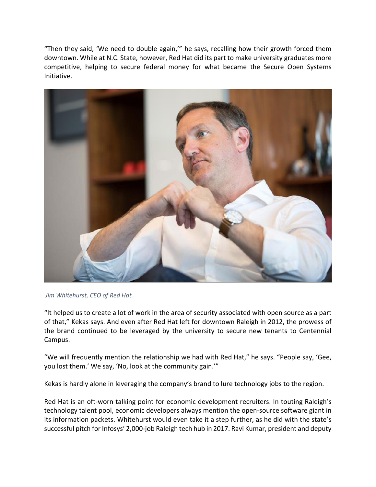"Then they said, 'We need to double again,'" he says, recalling how their growth forced them downtown. While at N.C. State, however, Red Hat did its part to make university graduates more competitive, helping to secure federal money for what became the Secure Open Systems Initiative.



*Jim Whitehurst, CEO of Red Hat.*

"It helped us to create a lot of work in the area of security associated with open source as a part of that," Kekas says. And even after Red Hat left for downtown Raleigh in 2012, the prowess of the brand continued to be leveraged by the university to secure new tenants to Centennial Campus.

"We will frequently mention the relationship we had with Red Hat," he says. "People say, 'Gee, you lost them.' We say, 'No, look at the community gain.'"

Kekas is hardly alone in leveraging the company's brand to lure technology jobs to the region.

Red Hat is an oft-worn talking point for economic development recruiters. In touting Raleigh's technology talent pool, economic developers always mention the open‐source software giant in its information packets. Whitehurst would even take it a step further, as he did with the state's successful pitch for Infosys' 2,000‐job Raleigh tech hub in 2017. Ravi Kumar, president and deputy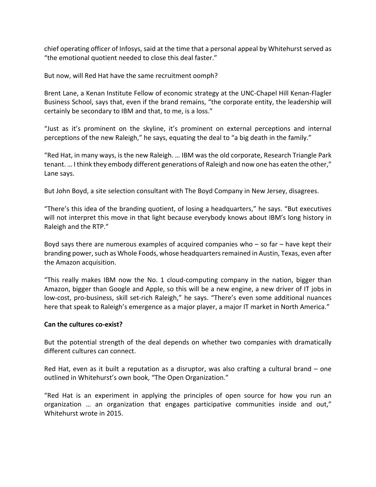chief operating officer of Infosys, said at the time that a personal appeal by Whitehurst served as "the emotional quotient needed to close this deal faster."

But now, will Red Hat have the same recruitment oomph?

Brent Lane, a Kenan Institute Fellow of economic strategy at the UNC‐Chapel Hill Kenan‐Flagler Business School, says that, even if the brand remains, "the corporate entity, the leadership will certainly be secondary to IBM and that, to me, is a loss."

"Just as it's prominent on the skyline, it's prominent on external perceptions and internal perceptions of the new Raleigh," he says, equating the deal to "a big death in the family."

"Red Hat, in many ways, is the new Raleigh. … IBM was the old corporate, Research Triangle Park tenant. … I think they embody different generations of Raleigh and now one has eaten the other," Lane says.

But John Boyd, a site selection consultant with The Boyd Company in New Jersey, disagrees.

"There's this idea of the branding quotient, of losing a headquarters," he says. "But executives will not interpret this move in that light because everybody knows about IBM's long history in Raleigh and the RTP."

Boyd says there are numerous examples of acquired companies who – so far – have kept their branding power, such as Whole Foods, whose headquarters remained in Austin, Texas, even after the Amazon acquisition.

"This really makes IBM now the No. 1 cloud‐computing company in the nation, bigger than Amazon, bigger than Google and Apple, so this will be a new engine, a new driver of IT jobs in low-cost, pro-business, skill set-rich Raleigh," he says. "There's even some additional nuances here that speak to Raleigh's emergence as a major player, a major IT market in North America."

### **Can the cultures co‐exist?**

But the potential strength of the deal depends on whether two companies with dramatically different cultures can connect.

Red Hat, even as it built a reputation as a disruptor, was also crafting a cultural brand – one outlined in Whitehurst's own book, "The Open Organization."

"Red Hat is an experiment in applying the principles of open source for how you run an organization … an organization that engages participative communities inside and out," Whitehurst wrote in 2015.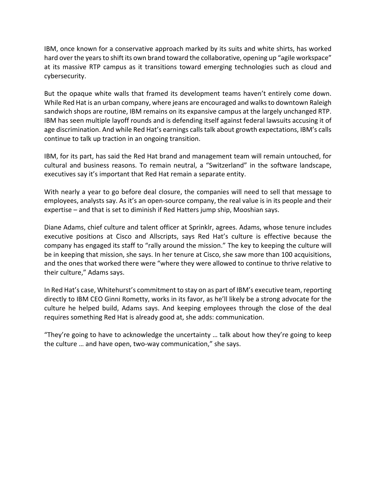IBM, once known for a conservative approach marked by its suits and white shirts, has worked hard over the years to shift its own brand toward the collaborative, opening up "agile workspace" at its massive RTP campus as it transitions toward emerging technologies such as cloud and cybersecurity.

But the opaque white walls that framed its development teams haven't entirely come down. While Red Hat is an urban company, where jeans are encouraged and walksto downtown Raleigh sandwich shops are routine, IBM remains on its expansive campus at the largely unchanged RTP. IBM has seen multiple layoff rounds and is defending itself against federal lawsuits accusing it of age discrimination. And while Red Hat's earnings calls talk about growth expectations, IBM's calls continue to talk up traction in an ongoing transition.

IBM, for its part, has said the Red Hat brand and management team will remain untouched, for cultural and business reasons. To remain neutral, a "Switzerland" in the software landscape, executives say it's important that Red Hat remain a separate entity.

With nearly a year to go before deal closure, the companies will need to sell that message to employees, analysts say. As it's an open‐source company, the real value is in its people and their expertise – and that is set to diminish if Red Hatters jump ship, Mooshian says.

Diane Adams, chief culture and talent officer at Sprinklr, agrees. Adams, whose tenure includes executive positions at Cisco and Allscripts, says Red Hat's culture is effective because the company has engaged its staff to "rally around the mission." The key to keeping the culture will be in keeping that mission, she says. In her tenure at Cisco, she saw more than 100 acquisitions, and the ones that worked there were "where they were allowed to continue to thrive relative to their culture," Adams says.

In Red Hat's case, Whitehurst's commitment to stay on as part of IBM's executive team, reporting directly to IBM CEO Ginni Rometty, works in its favor, as he'll likely be a strong advocate for the culture he helped build, Adams says. And keeping employees through the close of the deal requires something Red Hat is already good at, she adds: communication.

"They're going to have to acknowledge the uncertainty … talk about how they're going to keep the culture … and have open, two‐way communication," she says.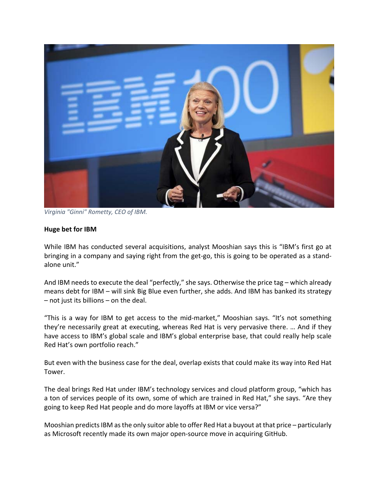

*Virginia "Ginni" Rometty, CEO of IBM.*

#### **Huge bet for IBM**

While IBM has conducted several acquisitions, analyst Mooshian says this is "IBM's first go at bringing in a company and saying right from the get‐go, this is going to be operated as a stand‐ alone unit."

And IBM needs to execute the deal "perfectly," she says. Otherwise the price tag – which already means debt for IBM – will sink Big Blue even further, she adds. And IBM has banked its strategy – not just its billions – on the deal.

"This is a way for IBM to get access to the mid‐market," Mooshian says. "It's not something they're necessarily great at executing, whereas Red Hat is very pervasive there. … And if they have access to IBM's global scale and IBM's global enterprise base, that could really help scale Red Hat's own portfolio reach."

But even with the business case for the deal, overlap exists that could make its way into Red Hat Tower.

The deal brings Red Hat under IBM's technology services and cloud platform group, "which has a ton of services people of its own, some of which are trained in Red Hat," she says. "Are they going to keep Red Hat people and do more layoffs at IBM or vice versa?"

Mooshian predicts IBM as the only suitor able to offer Red Hat a buyout at that price – particularly as Microsoft recently made its own major open‐source move in acquiring GitHub.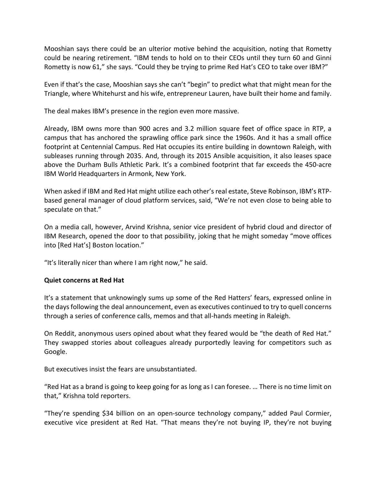Mooshian says there could be an ulterior motive behind the acquisition, noting that Rometty could be nearing retirement. "IBM tends to hold on to their CEOs until they turn 60 and Ginni Rometty is now 61," she says. "Could they be trying to prime Red Hat's CEO to take over IBM?"

Even if that's the case, Mooshian says she can't "begin" to predict what that might mean for the Triangle, where Whitehurst and his wife, entrepreneur Lauren, have built their home and family.

The deal makes IBM's presence in the region even more massive.

Already, IBM owns more than 900 acres and 3.2 million square feet of office space in RTP, a campus that has anchored the sprawling office park since the 1960s. And it has a small office footprint at Centennial Campus. Red Hat occupies its entire building in downtown Raleigh, with subleases running through 2035. And, through its 2015 Ansible acquisition, it also leases space above the Durham Bulls Athletic Park. It's a combined footprint that far exceeds the 450‐acre IBM World Headquarters in Armonk, New York.

When asked if IBM and Red Hat might utilize each other's real estate, Steve Robinson, IBM's RTPbased general manager of cloud platform services, said, "We're not even close to being able to speculate on that."

On a media call, however, Arvind Krishna, senior vice president of hybrid cloud and director of IBM Research, opened the door to that possibility, joking that he might someday "move offices into [Red Hat's] Boston location."

"It's literally nicer than where I am right now," he said.

### **Quiet concerns at Red Hat**

It's a statement that unknowingly sums up some of the Red Hatters' fears, expressed online in the days following the deal announcement, even as executives continued to try to quell concerns through a series of conference calls, memos and that all‐hands meeting in Raleigh.

On Reddit, anonymous users opined about what they feared would be "the death of Red Hat." They swapped stories about colleagues already purportedly leaving for competitors such as Google.

But executives insist the fears are unsubstantiated.

"Red Hat as a brand is going to keep going for as long as I can foresee. … There is no time limit on that," Krishna told reporters.

"They're spending \$34 billion on an open‐source technology company," added Paul Cormier, executive vice president at Red Hat. "That means they're not buying IP, they're not buying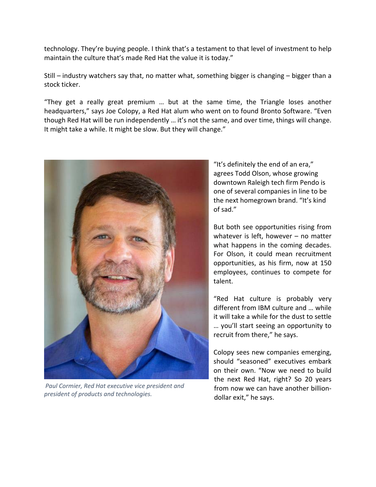technology. They're buying people. I think that's a testament to that level of investment to help maintain the culture that's made Red Hat the value it is today."

Still – industry watchers say that, no matter what, something bigger is changing – bigger than a stock ticker.

"They get a really great premium … but at the same time, the Triangle loses another headquarters," says Joe Colopy, a Red Hat alum who went on to found Bronto Software. "Even though Red Hat will be run independently … it's not the same, and over time, things will change. It might take a while. It might be slow. But they will change."



*Paul Cormier, Red Hat executive vice president and president of products and technologies.*

"It's definitely the end of an era," agrees Todd Olson, whose growing downtown Raleigh tech firm Pendo is one of several companies in line to be the next homegrown brand. "It's kind of sad."

But both see opportunities rising from whatever is left, however – no matter what happens in the coming decades. For Olson, it could mean recruitment opportunities, as his firm, now at 150 employees, continues to compete for talent.

"Red Hat culture is probably very different from IBM culture and … while it will take a while for the dust to settle … you'll start seeing an opportunity to recruit from there," he says.

Colopy sees new companies emerging, should "seasoned" executives embark on their own. "Now we need to build the next Red Hat, right? So 20 years from now we can have another billion‐ dollar exit," he says.